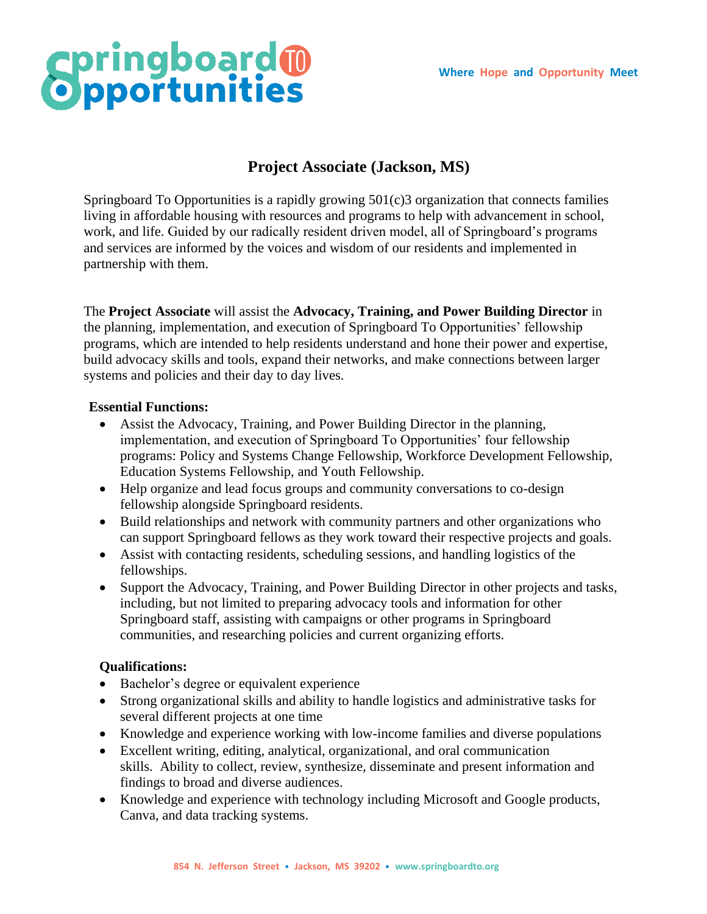# **Springboard®**

## **Project Associate (Jackson, MS)**

Springboard To Opportunities is a rapidly growing 501(c)3 organization that connects families living in affordable housing with resources and programs to help with advancement in school, work, and life. Guided by our radically resident driven model, all of Springboard's programs and services are informed by the voices and wisdom of our residents and implemented in partnership with them.

The **Project Associate** will assist the **Advocacy, Training, and Power Building Director** in the planning, implementation, and execution of Springboard To Opportunities' fellowship programs, which are intended to help residents understand and hone their power and expertise, build advocacy skills and tools, expand their networks, and make connections between larger systems and policies and their day to day lives.

### **Essential Functions:**

- Assist the Advocacy, Training, and Power Building Director in the planning, implementation, and execution of Springboard To Opportunities' four fellowship programs: Policy and Systems Change Fellowship, Workforce Development Fellowship, Education Systems Fellowship, and Youth Fellowship.
- Help organize and lead focus groups and community conversations to co-design fellowship alongside Springboard residents.
- Build relationships and network with community partners and other organizations who can support Springboard fellows as they work toward their respective projects and goals.
- Assist with contacting residents, scheduling sessions, and handling logistics of the fellowships.
- Support the Advocacy, Training, and Power Building Director in other projects and tasks, including, but not limited to preparing advocacy tools and information for other Springboard staff, assisting with campaigns or other programs in Springboard communities, and researching policies and current organizing efforts.

### **Qualifications:**

- Bachelor's degree or equivalent experience
- Strong organizational skills and ability to handle logistics and administrative tasks for several different projects at one time
- Knowledge and experience working with low-income families and diverse populations
- Excellent writing, editing, analytical, organizational, and oral communication skills. Ability to collect, review, synthesize, disseminate and present information and findings to broad and diverse audiences.
- Knowledge and experience with technology including Microsoft and Google products, Canva, and data tracking systems.